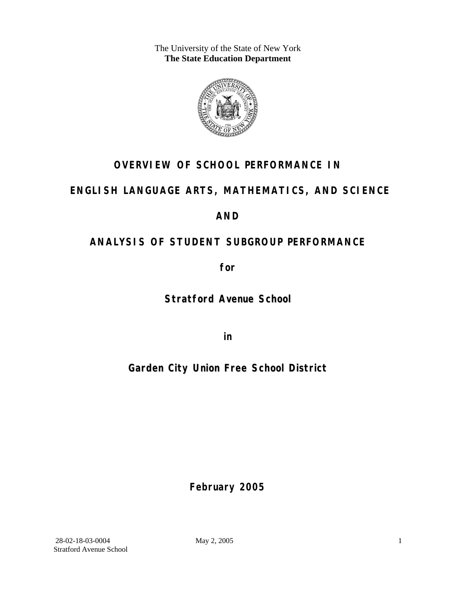The University of the State of New York **The State Education Department** 



### **OVERVIEW OF SCHOOL PERFORMANCE IN**

### **ENGLISH LANGUAGE ARTS, MATHEMATICS, AND SCIENCE**

### **AND**

## **ANALYSIS OF STUDENT SUBGROUP PERFORMANCE**

**for** 

**Stratford Avenue School**

**in** 

### **Garden City Union Free School District**

**February 2005**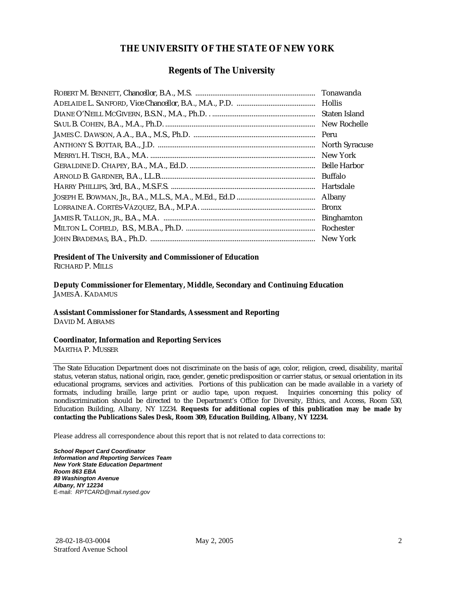#### **THE UNIVERSITY OF THE STATE OF NEW YORK**

#### **Regents of The University**

| Tonawanda             |
|-----------------------|
|                       |
| Staten Island         |
| New Rochelle          |
| Peru                  |
| <b>North Syracuse</b> |
| New York              |
| <b>Belle Harbor</b>   |
| <b>Buffalo</b>        |
| Hartsdale             |
| Albany                |
| <b>Bronx</b>          |
| <b>Binghamton</b>     |
| Rochester             |
| New York              |

### **President of The University and Commissioner of Education**

RICHARD P. MILLS

**Deputy Commissioner for Elementary, Middle, Secondary and Continuing Education**  JAMES A. KADAMUS

#### **Assistant Commissioner for Standards, Assessment and Reporting**  DAVID M. ABRAMS

**Coordinator, Information and Reporting Services** 

MARTHA P. MUSSER

The State Education Department does not discriminate on the basis of age, color, religion, creed, disability, marital status, veteran status, national origin, race, gender, genetic predisposition or carrier status, or sexual orientation in its educational programs, services and activities. Portions of this publication can be made available in a variety of formats, including braille, large print or audio tape, upon request. Inquiries concerning this policy of nondiscrimination should be directed to the Department's Office for Diversity, Ethics, and Access, Room 530, Education Building, Albany, NY 12234. **Requests for additional copies of this publication may be made by contacting the Publications Sales Desk, Room 309, Education Building, Albany, NY 12234.** 

Please address all correspondence about this report that is not related to data corrections to:

*School Report Card Coordinator Information and Reporting Services Team New York State Education Department Room 863 EBA 89 Washington Avenue Albany, NY 12234*  E-mail: *RPTCARD@mail.nysed.gov*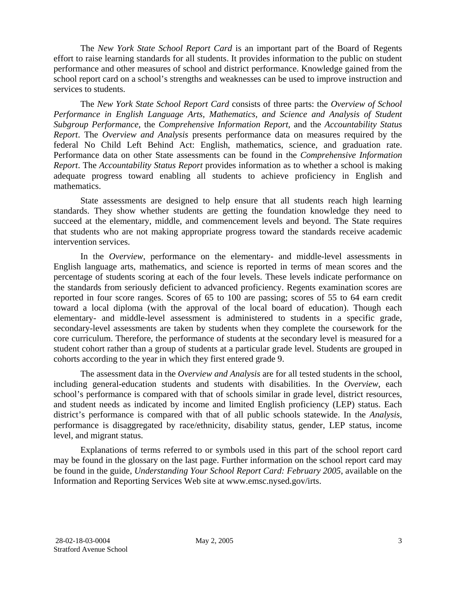The *New York State School Report Card* is an important part of the Board of Regents effort to raise learning standards for all students. It provides information to the public on student performance and other measures of school and district performance. Knowledge gained from the school report card on a school's strengths and weaknesses can be used to improve instruction and services to students.

The *New York State School Report Card* consists of three parts: the *Overview of School Performance in English Language Arts, Mathematics, and Science and Analysis of Student Subgroup Performance,* the *Comprehensive Information Report,* and the *Accountability Status Report*. The *Overview and Analysis* presents performance data on measures required by the federal No Child Left Behind Act: English, mathematics, science, and graduation rate. Performance data on other State assessments can be found in the *Comprehensive Information Report*. The *Accountability Status Report* provides information as to whether a school is making adequate progress toward enabling all students to achieve proficiency in English and mathematics.

State assessments are designed to help ensure that all students reach high learning standards. They show whether students are getting the foundation knowledge they need to succeed at the elementary, middle, and commencement levels and beyond. The State requires that students who are not making appropriate progress toward the standards receive academic intervention services.

In the *Overview*, performance on the elementary- and middle-level assessments in English language arts, mathematics, and science is reported in terms of mean scores and the percentage of students scoring at each of the four levels. These levels indicate performance on the standards from seriously deficient to advanced proficiency. Regents examination scores are reported in four score ranges. Scores of 65 to 100 are passing; scores of 55 to 64 earn credit toward a local diploma (with the approval of the local board of education). Though each elementary- and middle-level assessment is administered to students in a specific grade, secondary-level assessments are taken by students when they complete the coursework for the core curriculum. Therefore, the performance of students at the secondary level is measured for a student cohort rather than a group of students at a particular grade level. Students are grouped in cohorts according to the year in which they first entered grade 9.

The assessment data in the *Overview and Analysis* are for all tested students in the school, including general-education students and students with disabilities. In the *Overview*, each school's performance is compared with that of schools similar in grade level, district resources, and student needs as indicated by income and limited English proficiency (LEP) status. Each district's performance is compared with that of all public schools statewide. In the *Analysis*, performance is disaggregated by race/ethnicity, disability status, gender, LEP status, income level, and migrant status.

Explanations of terms referred to or symbols used in this part of the school report card may be found in the glossary on the last page. Further information on the school report card may be found in the guide, *Understanding Your School Report Card: February 2005*, available on the Information and Reporting Services Web site at www.emsc.nysed.gov/irts.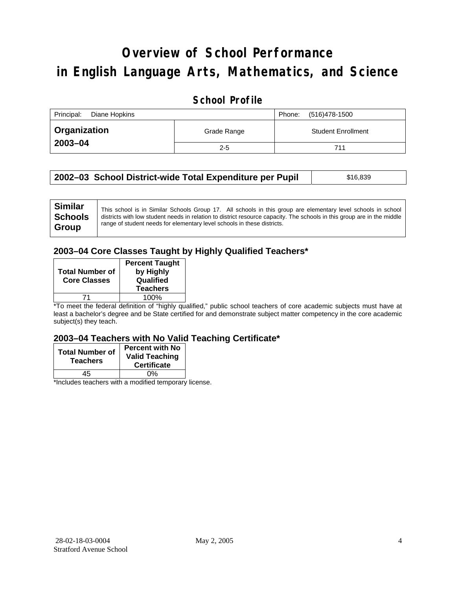# **Overview of School Performance in English Language Arts, Mathematics, and Science**

#### **School Profile**

| Principal:<br>Diane Hopkins | (516)478-1500<br>Phone: |                           |
|-----------------------------|-------------------------|---------------------------|
| <b>Organization</b>         | Grade Range             | <b>Student Enrollment</b> |
| 2003-04                     | $2 - 5$                 | 711                       |

| 2002–03 School District-wide Total Expenditure per Pupil | \$16,839 |
|----------------------------------------------------------|----------|
|----------------------------------------------------------|----------|

#### **2003–04 Core Classes Taught by Highly Qualified Teachers\***

| <b>Total Number of</b><br><b>Core Classes</b> | <b>Percent Taught</b><br>by Highly<br>Qualified<br><b>Teachers</b> |
|-----------------------------------------------|--------------------------------------------------------------------|
|                                               | 100%                                                               |

\*To meet the federal definition of "highly qualified," public school teachers of core academic subjects must have at least a bachelor's degree and be State certified for and demonstrate subject matter competency in the core academic subject(s) they teach.

#### **2003–04 Teachers with No Valid Teaching Certificate\***

| <b>Total Number of</b><br><b>Teachers</b> | <b>Percent with No</b><br><b>Valid Teaching</b><br><b>Certificate</b> |
|-------------------------------------------|-----------------------------------------------------------------------|
| 45                                        | 0%                                                                    |
| $\mathbf{A}$<br>$\cdots$                  |                                                                       |

\*Includes teachers with a modified temporary license.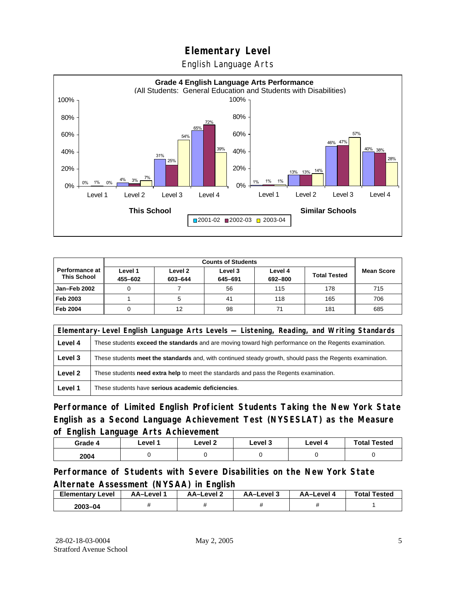English Language Arts



|                                             |                    | <b>Counts of Students</b> |                    |                    |                     |                   |
|---------------------------------------------|--------------------|---------------------------|--------------------|--------------------|---------------------|-------------------|
| <b>Performance at</b><br><b>This School</b> | Level 1<br>455-602 | Level 2<br>603-644        | Level 3<br>645-691 | Level 4<br>692-800 | <b>Total Tested</b> | <b>Mean Score</b> |
| Jan-Feb 2002                                |                    |                           | 56                 | 115                | 178                 | 715               |
| Feb 2003                                    |                    |                           | 41                 | 118                | 165                 | 706               |
| <b>Feb 2004</b>                             |                    | 12                        | 98                 | 71                 | 181                 | 685               |

| Elementary-Level English Language Arts Levels — Listening, Reading, and Writing Standards |                                                                                                           |  |  |
|-------------------------------------------------------------------------------------------|-----------------------------------------------------------------------------------------------------------|--|--|
| Level 4                                                                                   | These students exceed the standards and are moving toward high performance on the Regents examination.    |  |  |
| Level 3                                                                                   | These students meet the standards and, with continued steady growth, should pass the Regents examination. |  |  |
| Level 2                                                                                   | These students <b>need extra help</b> to meet the standards and pass the Regents examination.             |  |  |
| Level 1                                                                                   | These students have serious academic deficiencies.                                                        |  |  |

**Performance of Limited English Proficient Students Taking the New York State English as a Second Language Achievement Test (NYSESLAT) as the Measure of English Language Arts Achievement**

| Grade 4 | Level 1 | Level 2 | Level 3 | Level 4 | <b>Total Tested</b> |
|---------|---------|---------|---------|---------|---------------------|
| 2004    |         |         |         |         |                     |

**Performance of Students with Severe Disabilities on the New York State Alternate Assessment (NYSAA) in English** 

| <b>Elementary Level</b> | AA-Level 1 | AA-Level 2 | AA-Level 3 | AA-Level 4 | <b>Total Tested</b> |
|-------------------------|------------|------------|------------|------------|---------------------|
| $2003 - 04$             |            |            |            |            |                     |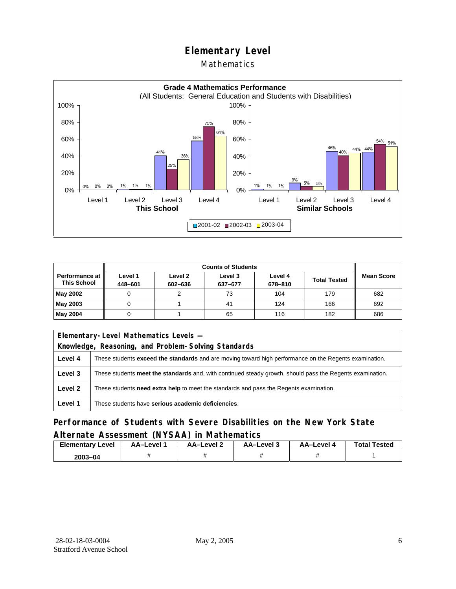#### **Mathematics**



|                                      |                    | <b>Counts of Students</b> |                    |                    |                     |                   |
|--------------------------------------|--------------------|---------------------------|--------------------|--------------------|---------------------|-------------------|
| Performance at<br><b>This School</b> | Level 1<br>448-601 | Level 2<br>602-636        | Level 3<br>637-677 | Level 4<br>678-810 | <b>Total Tested</b> | <b>Mean Score</b> |
| May 2002                             |                    |                           | 73                 | 104                | 179                 | 682               |
| May 2003                             |                    |                           | 41                 | 124                | 166                 | 692               |
| May 2004                             |                    |                           | 65                 | 116                | 182                 | 686               |

| Elementary-Level Mathematics Levels -                                                             |                                                                                                               |  |  |
|---------------------------------------------------------------------------------------------------|---------------------------------------------------------------------------------------------------------------|--|--|
|                                                                                                   | Knowledge, Reasoning, and Problem-Solving Standards                                                           |  |  |
| Level 4                                                                                           | These students <b>exceed the standards</b> and are moving toward high performance on the Regents examination. |  |  |
| Level 3                                                                                           | These students meet the standards and, with continued steady growth, should pass the Regents examination.     |  |  |
| Level 2<br>These students need extra help to meet the standards and pass the Regents examination. |                                                                                                               |  |  |
| Level 1                                                                                           | These students have serious academic deficiencies.                                                            |  |  |

#### **Performance of Students with Severe Disabilities on the New York State Alternate Assessment (NYSAA) in Mathematics**

| <b>Elementary Level</b> | AA–Level | <b>AA-Level 2</b> | AA-Level 3 | AA–Level 4 | <b>Total Tested</b> |
|-------------------------|----------|-------------------|------------|------------|---------------------|
| $2003 - 04$             |          |                   |            |            |                     |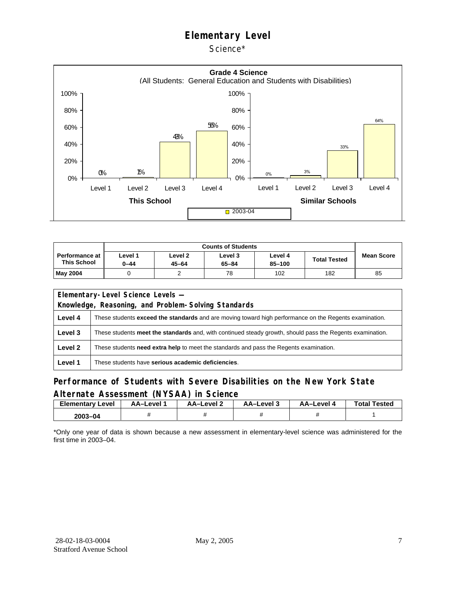Science\*



|                                             | <b>Counts of Students</b> |                      |                      |                   |                   |    |  |  |
|---------------------------------------------|---------------------------|----------------------|----------------------|-------------------|-------------------|----|--|--|
| <b>Performance at</b><br><b>This School</b> | evel 1-<br>$0 - 44$       | Level 2<br>$45 - 64$ | Level 3<br>$65 - 84$ | Level 4<br>85-100 | <b>Mean Score</b> |    |  |  |
| May 2004                                    |                           |                      | 78                   | 102               | 182               | 85 |  |  |

| Elementary-Level Science Levels -                   |                                                                                                               |  |  |  |  |  |  |
|-----------------------------------------------------|---------------------------------------------------------------------------------------------------------------|--|--|--|--|--|--|
| Knowledge, Reasoning, and Problem-Solving Standards |                                                                                                               |  |  |  |  |  |  |
| Level 4                                             | These students <b>exceed the standards</b> and are moving toward high performance on the Regents examination. |  |  |  |  |  |  |
| Level 3                                             | These students meet the standards and, with continued steady growth, should pass the Regents examination.     |  |  |  |  |  |  |
| Level 2                                             | These students need extra help to meet the standards and pass the Regents examination.                        |  |  |  |  |  |  |
| Level 1                                             | These students have serious academic deficiencies.                                                            |  |  |  |  |  |  |

#### **Performance of Students with Severe Disabilities on the New York State Alternate Assessment (NYSAA) in Science**

| <b>Elementary Level</b> | AA-Level | AA–Level ∠ | د AA–Level | AA-Level 4 | <b>Total Tested</b> |
|-------------------------|----------|------------|------------|------------|---------------------|
| 2003-04                 |          |            |            |            |                     |

\*Only one year of data is shown because a new assessment in elementary-level science was administered for the first time in 2003–04.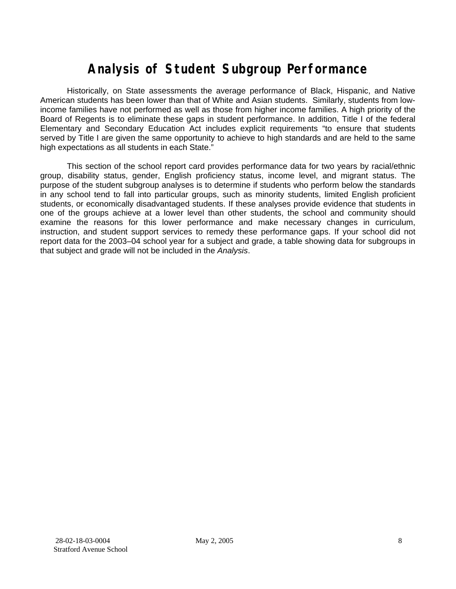# **Analysis of Student Subgroup Performance**

Historically, on State assessments the average performance of Black, Hispanic, and Native American students has been lower than that of White and Asian students. Similarly, students from lowincome families have not performed as well as those from higher income families. A high priority of the Board of Regents is to eliminate these gaps in student performance. In addition, Title I of the federal Elementary and Secondary Education Act includes explicit requirements "to ensure that students served by Title I are given the same opportunity to achieve to high standards and are held to the same high expectations as all students in each State."

This section of the school report card provides performance data for two years by racial/ethnic group, disability status, gender, English proficiency status, income level, and migrant status. The purpose of the student subgroup analyses is to determine if students who perform below the standards in any school tend to fall into particular groups, such as minority students, limited English proficient students, or economically disadvantaged students. If these analyses provide evidence that students in one of the groups achieve at a lower level than other students, the school and community should examine the reasons for this lower performance and make necessary changes in curriculum, instruction, and student support services to remedy these performance gaps. If your school did not report data for the 2003–04 school year for a subject and grade, a table showing data for subgroups in that subject and grade will not be included in the *Analysis*.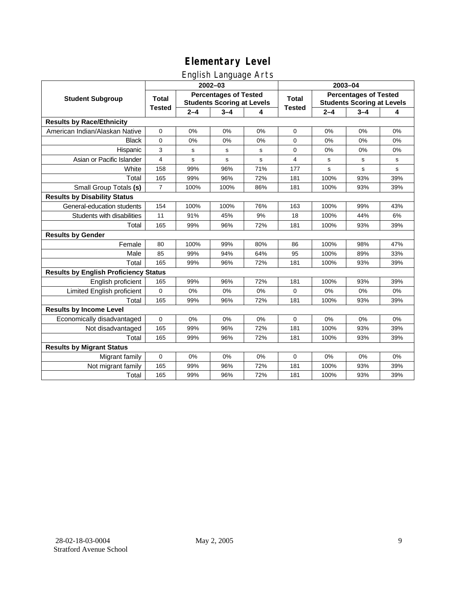### English Language Arts

|                                              |                                                                                   |         | ັ<br>2002-03 |       | 2003-04                                                           |             |             |     |  |
|----------------------------------------------|-----------------------------------------------------------------------------------|---------|--------------|-------|-------------------------------------------------------------------|-------------|-------------|-----|--|
| <b>Student Subgroup</b>                      | <b>Percentages of Tested</b><br><b>Total</b><br><b>Students Scoring at Levels</b> |         |              | Total | <b>Percentages of Tested</b><br><b>Students Scoring at Levels</b> |             |             |     |  |
|                                              | <b>Tested</b>                                                                     | $2 - 4$ | $3 - 4$      | 4     | <b>Tested</b>                                                     | $2 - 4$     | $3 - 4$     | 4   |  |
| <b>Results by Race/Ethnicity</b>             |                                                                                   |         |              |       |                                                                   |             |             |     |  |
| American Indian/Alaskan Native               | 0                                                                                 | 0%      | 0%           | 0%    | $\mathbf 0$                                                       | 0%          | 0%          | 0%  |  |
| <b>Black</b>                                 | 0                                                                                 | 0%      | 0%           | 0%    | 0                                                                 | 0%          | 0%          | 0%  |  |
| Hispanic                                     | 3                                                                                 | s       | s            | s     | 0                                                                 | 0%          | 0%          | 0%  |  |
| Asian or Pacific Islander                    | 4                                                                                 | s       | s            | s     | 4                                                                 | s           | s           | s   |  |
| White                                        | 158                                                                               | 99%     | 96%          | 71%   | 177                                                               | $\mathbf s$ | $\mathbf s$ | s   |  |
| Total                                        | 165                                                                               | 99%     | 96%          | 72%   | 181                                                               | 100%        | 93%         | 39% |  |
| Small Group Totals (s)                       | $\overline{7}$                                                                    | 100%    | 100%         | 86%   | 181                                                               | 100%        | 93%         | 39% |  |
| <b>Results by Disability Status</b>          |                                                                                   |         |              |       |                                                                   |             |             |     |  |
| General-education students                   | 154                                                                               | 100%    | 100%         | 76%   | 163                                                               | 100%        | 99%         | 43% |  |
| Students with disabilities                   | 11                                                                                | 91%     | 45%          | 9%    | 18                                                                | 100%        | 44%         | 6%  |  |
| Total                                        | 165                                                                               | 99%     | 96%          | 72%   | 181                                                               | 100%        | 93%         | 39% |  |
| <b>Results by Gender</b>                     |                                                                                   |         |              |       |                                                                   |             |             |     |  |
| Female                                       | 80                                                                                | 100%    | 99%          | 80%   | 86                                                                | 100%        | 98%         | 47% |  |
| Male                                         | 85                                                                                | 99%     | 94%          | 64%   | 95                                                                | 100%        | 89%         | 33% |  |
| Total                                        | 165                                                                               | 99%     | 96%          | 72%   | 181                                                               | 100%        | 93%         | 39% |  |
| <b>Results by English Proficiency Status</b> |                                                                                   |         |              |       |                                                                   |             |             |     |  |
| English proficient                           | 165                                                                               | 99%     | 96%          | 72%   | 181                                                               | 100%        | 93%         | 39% |  |
| Limited English proficient                   | 0                                                                                 | 0%      | 0%           | 0%    | 0                                                                 | 0%          | 0%          | 0%  |  |
| Total                                        | 165                                                                               | 99%     | 96%          | 72%   | 181                                                               | 100%        | 93%         | 39% |  |
| <b>Results by Income Level</b>               |                                                                                   |         |              |       |                                                                   |             |             |     |  |
| Economically disadvantaged                   | 0                                                                                 | 0%      | 0%           | 0%    | 0                                                                 | 0%          | 0%          | 0%  |  |
| Not disadvantaged                            | 165                                                                               | 99%     | 96%          | 72%   | 181                                                               | 100%        | 93%         | 39% |  |
| Total                                        | 165                                                                               | 99%     | 96%          | 72%   | 181                                                               | 100%        | 93%         | 39% |  |
| <b>Results by Migrant Status</b>             |                                                                                   |         |              |       |                                                                   |             |             |     |  |
| Migrant family                               | $\mathbf 0$                                                                       | 0%      | 0%           | 0%    | 0                                                                 | 0%          | 0%          | 0%  |  |
| Not migrant family                           | 165                                                                               | 99%     | 96%          | 72%   | 181                                                               | 100%        | 93%         | 39% |  |
| Total                                        | 165                                                                               | 99%     | 96%          | 72%   | 181                                                               | 100%        | 93%         | 39% |  |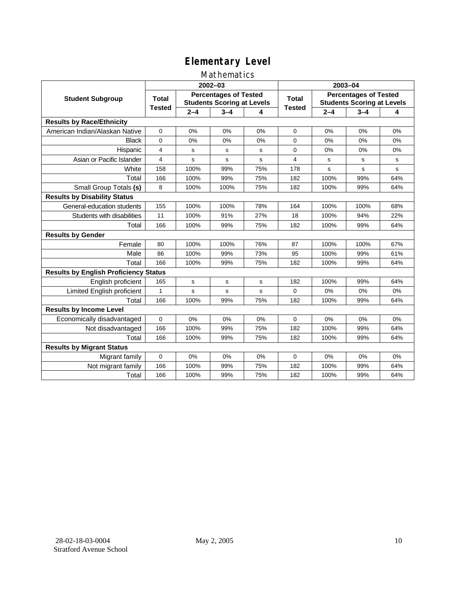#### Mathematics

|                                              |                                                                                   |         | 2002-03 |              | 2003-04                                                           |         |         |             |  |
|----------------------------------------------|-----------------------------------------------------------------------------------|---------|---------|--------------|-------------------------------------------------------------------|---------|---------|-------------|--|
| <b>Student Subgroup</b>                      | <b>Percentages of Tested</b><br><b>Total</b><br><b>Students Scoring at Levels</b> |         |         | <b>Total</b> | <b>Percentages of Tested</b><br><b>Students Scoring at Levels</b> |         |         |             |  |
|                                              | <b>Tested</b>                                                                     | $2 - 4$ | $3 - 4$ | 4            | <b>Tested</b>                                                     | $2 - 4$ | $3 - 4$ | 4           |  |
| <b>Results by Race/Ethnicity</b>             |                                                                                   |         |         |              |                                                                   |         |         |             |  |
| American Indian/Alaskan Native               | $\mathbf 0$                                                                       | 0%      | 0%      | 0%           | $\mathbf 0$                                                       | 0%      | 0%      | 0%          |  |
| <b>Black</b>                                 | $\Omega$                                                                          | 0%      | 0%      | 0%           | $\Omega$                                                          | 0%      | 0%      | 0%          |  |
| Hispanic                                     | 4                                                                                 | s       | s       | s            | 0                                                                 | 0%      | 0%      | 0%          |  |
| Asian or Pacific Islander                    | $\overline{4}$                                                                    | s       | s       | s            | 4                                                                 | s       | s       | s           |  |
| White                                        | 158                                                                               | 100%    | 99%     | 75%          | 178                                                               | s       | s       | $\mathbf s$ |  |
| Total                                        | 166                                                                               | 100%    | 99%     | 75%          | 182                                                               | 100%    | 99%     | 64%         |  |
| Small Group Totals (s)                       | 8                                                                                 | 100%    | 100%    | 75%          | 182                                                               | 100%    | 99%     | 64%         |  |
| <b>Results by Disability Status</b>          |                                                                                   |         |         |              |                                                                   |         |         |             |  |
| General-education students                   | 155                                                                               | 100%    | 100%    | 78%          | 164                                                               | 100%    | 100%    | 68%         |  |
| Students with disabilities                   | 11                                                                                | 100%    | 91%     | 27%          | 18                                                                | 100%    | 94%     | 22%         |  |
| Total                                        | 166                                                                               | 100%    | 99%     | 75%          | 182                                                               | 100%    | 99%     | 64%         |  |
| <b>Results by Gender</b>                     |                                                                                   |         |         |              |                                                                   |         |         |             |  |
| Female                                       | 80                                                                                | 100%    | 100%    | 76%          | 87                                                                | 100%    | 100%    | 67%         |  |
| Male                                         | 86                                                                                | 100%    | 99%     | 73%          | 95                                                                | 100%    | 99%     | 61%         |  |
| Total                                        | 166                                                                               | 100%    | 99%     | 75%          | 182                                                               | 100%    | 99%     | 64%         |  |
| <b>Results by English Proficiency Status</b> |                                                                                   |         |         |              |                                                                   |         |         |             |  |
| English proficient                           | 165                                                                               | s       | s       | s            | 182                                                               | 100%    | 99%     | 64%         |  |
| Limited English proficient                   | 1                                                                                 | s       | s       | s            | $\Omega$                                                          | 0%      | 0%      | 0%          |  |
| Total                                        | 166                                                                               | 100%    | 99%     | 75%          | 182                                                               | 100%    | 99%     | 64%         |  |
| <b>Results by Income Level</b>               |                                                                                   |         |         |              |                                                                   |         |         |             |  |
| Economically disadvantaged                   | $\Omega$                                                                          | 0%      | 0%      | 0%           | $\Omega$                                                          | 0%      | 0%      | 0%          |  |
| Not disadvantaged                            | 166                                                                               | 100%    | 99%     | 75%          | 182                                                               | 100%    | 99%     | 64%         |  |
| Total                                        | 166                                                                               | 100%    | 99%     | 75%          | 182                                                               | 100%    | 99%     | 64%         |  |
| <b>Results by Migrant Status</b>             |                                                                                   |         |         |              |                                                                   |         |         |             |  |
| Migrant family                               | $\mathbf 0$                                                                       | 0%      | 0%      | 0%           | $\mathbf 0$                                                       | 0%      | 0%      | 0%          |  |
| Not migrant family                           | 166                                                                               | 100%    | 99%     | 75%          | 182                                                               | 100%    | 99%     | 64%         |  |
| Total                                        | 166                                                                               | 100%    | 99%     | 75%          | 182                                                               | 100%    | 99%     | 64%         |  |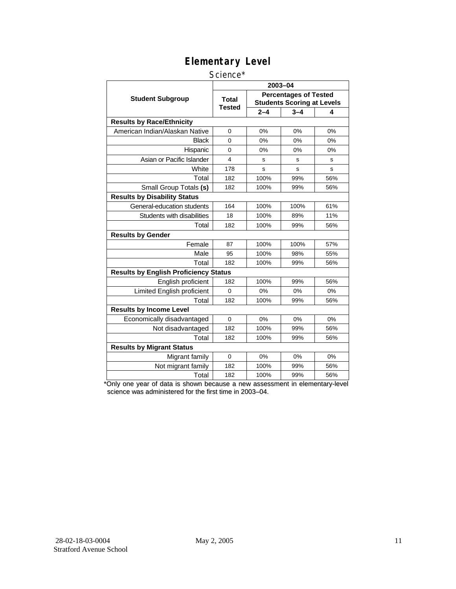#### Science\*

|                                              | 2003-04                 |                                                                   |         |     |  |  |  |
|----------------------------------------------|-------------------------|-------------------------------------------------------------------|---------|-----|--|--|--|
| <b>Student Subgroup</b>                      | <b>Total</b><br>Tested  | <b>Percentages of Tested</b><br><b>Students Scoring at Levels</b> |         |     |  |  |  |
|                                              |                         | $2 - 4$                                                           | $3 - 4$ | 4   |  |  |  |
| <b>Results by Race/Ethnicity</b>             |                         |                                                                   |         |     |  |  |  |
| American Indian/Alaskan Native               | $\Omega$                | 0%                                                                | 0%      | 0%  |  |  |  |
| <b>Black</b>                                 | 0                       | 0%                                                                | 0%      | 0%  |  |  |  |
| Hispanic                                     | 0                       | 0%                                                                | 0%      | 0%  |  |  |  |
| Asian or Pacific Islander                    | $\overline{\mathbf{4}}$ | s                                                                 | s       | S   |  |  |  |
| White                                        | 178                     | s                                                                 | s       | s   |  |  |  |
| Total                                        | 182                     | 100%                                                              | 99%     | 56% |  |  |  |
| Small Group Totals (s)                       | 182                     | 100%                                                              | 99%     | 56% |  |  |  |
| <b>Results by Disability Status</b>          |                         |                                                                   |         |     |  |  |  |
| General-education students                   | 164                     | 100%                                                              | 100%    | 61% |  |  |  |
| Students with disabilities                   | 18                      | 100%                                                              | 89%     | 11% |  |  |  |
| Total                                        | 182                     | 100%                                                              | 99%     | 56% |  |  |  |
| <b>Results by Gender</b>                     |                         |                                                                   |         |     |  |  |  |
| Female                                       | 87                      | 100%                                                              | 100%    | 57% |  |  |  |
| Male                                         | 95                      | 100%                                                              | 98%     | 55% |  |  |  |
| Total                                        | 182                     | 100%                                                              | 99%     | 56% |  |  |  |
| <b>Results by English Proficiency Status</b> |                         |                                                                   |         |     |  |  |  |
| English proficient                           | 182                     | 100%                                                              | 99%     | 56% |  |  |  |
| Limited English proficient                   | $\Omega$                | 0%                                                                | 0%      | 0%  |  |  |  |
| Total                                        | 182                     | 100%                                                              | 99%     | 56% |  |  |  |
| <b>Results by Income Level</b>               |                         |                                                                   |         |     |  |  |  |
| Economically disadvantaged                   | $\mathbf 0$             | 0%                                                                | 0%      | 0%  |  |  |  |
| Not disadvantaged                            | 182                     | 100%                                                              | 99%     | 56% |  |  |  |
| Total                                        | 182                     | 100%                                                              | 99%     | 56% |  |  |  |
| <b>Results by Migrant Status</b>             |                         |                                                                   |         |     |  |  |  |
| Migrant family                               | $\Omega$                | 0%                                                                | 0%      | 0%  |  |  |  |
| Not migrant family                           | 182                     | 100%                                                              | 99%     | 56% |  |  |  |
| Total                                        | 182                     | 100%                                                              | 99%     | 56% |  |  |  |

\*Only one year of data is shown because a new assessment in elementary-level science was administered for the first time in 2003–04.